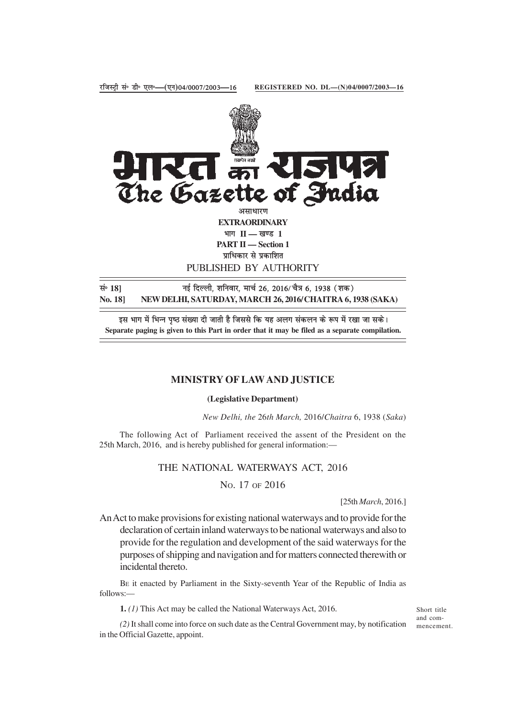

**REGISTERED NO. DL—(N)04/0007/2003—16**

प्राधिकार से प्रकाशित PUBLISHED BY AUTHORITY

सं॰ 18] <sup>मुं सिल्ली, शनिवार, मार्च 26, 2016/ चैत्र 6, 1938 (शक)</sup> **No. 18] NEW DELHI, SATURDAY, MARCH 26, 2016/CHAITRA 6, 1938 (SAKA)**

इस भाग में भिन्न पृष्ठ संख्या दी जाती है जिससे कि यह अलग संकलन के रूप में रखा जा सके। **Separate paging is given to this Part in order that it may be filed as a separate compilation.**

#### **MINISTRY OF LAW AND JUSTICE**

#### **(Legislative Department)**

*New Delhi, the* 26*th March,* 2016/*Chaitra* 6, 1938 (*Saka*)

The following Act of Parliament received the assent of the President on the 25th March, 2016, and is hereby published for general information:—

#### THE NATIONAL WATERWAYS ACT, 2016

NO. 17 OF 2016

[25th *March*, 2016.]

An Act to make provisions for existing national waterways and to provide for the declaration of certain inland waterways to be national waterways and also to provide for the regulation and development of the said waterways for the purposes of shipping and navigation and for matters connected therewith or incidental thereto.

BE it enacted by Parliament in the Sixty-seventh Year of the Republic of India as follows:—

**1.** *(1)* This Act may be called the National Waterways Act, 2016.

Short title and commencement.

*(2)* It shall come into force on such date as the Central Government may, by notification in the Official Gazette, appoint.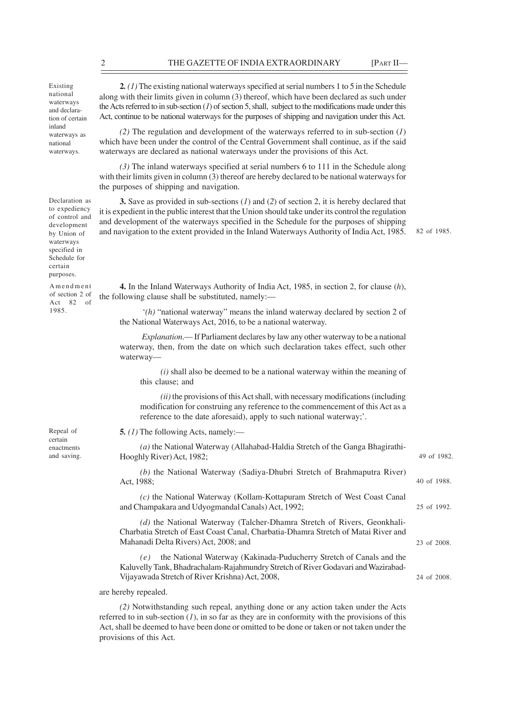Existing national waterways and declaration of certain inland waterways as national waterways.

Declaration as to expediency of control and development by Union of waterways specified in Schedule for certain purposes.

Amendment of section 2 of Act 82 of 1985.

Repeal of certain enactments

**2***. (1)* The existing national waterways specified at serial numbers 1 to 5 in the Schedule along with their limits given in column (3) thereof, which have been declared as such under the Acts referred to in sub-section  $(I)$  of section 5, shall, subject to the modifications made under this Act, continue to be national waterways for the purposes of shipping and navigation under this Act.

*(2)* The regulation and development of the waterways referred to in sub-section (*1*) which have been under the control of the Central Government shall continue, as if the said waterways are declared as national waterways under the provisions of this Act.

*(3)* The inland waterways specified at serial numbers 6 to 111 in the Schedule along with their limits given in column (3) thereof are hereby declared to be national waterways for the purposes of shipping and navigation.

**3.** Save as provided in sub-sections (*1*) and (*2*) of section 2, it is hereby declared that it is expedient in the public interest that the Union should take under its control the regulation and development of the waterways specified in the Schedule for the purposes of shipping and navigation to the extent provided in the Inland Waterways Authority of India Act, 1985.

82 of 1985.

40 of 1988.

25 of 1992.

23 of 2008.

24 of 2008.

**4.** In the Inland Waterways Authority of India Act, 1985, in section 2, for clause (*h*), the following clause shall be substituted, namely:––

 '*(h)* "national waterway" means the inland waterway declared by section 2 of the National Waterways Act, 2016, to be a national waterway.

*Explanation*.–– If Parliament declares by law any other waterway to be a national waterway, then, from the date on which such declaration takes effect, such other waterway––

*(i)* shall also be deemed to be a national waterway within the meaning of this clause; and

*(ii)* the provisions of this Act shall, with necessary modifications (including modification for construing any reference to the commencement of this Act as a reference to the date aforesaid), apply to such national waterway;'.

**5***. (1)* The following Acts, namely:—

*(a)* the National Waterway (Allahabad-Haldia Stretch of the Ganga Bhagirathiand saving. **Hooghly River) Act, 1982**; **49 of 1982. 49 of 1982.** 

> *(b)* the National Waterway (Sadiya-Dhubri Stretch of Brahmaputra River) Act, 1988;

> *(c)* the National Waterway (Kollam-Kottapuram Stretch of West Coast Canal and Champakara and Udyogmandal Canals) Act, 1992;

> *(d)* the National Waterway (Talcher-Dhamra Stretch of Rivers, Geonkhali-Charbatia Stretch of East Coast Canal, Charbatia-Dhamra Stretch of Matai River and Mahanadi Delta Rivers) Act, 2008; and

> *(e)* the National Waterway (Kakinada-Puducherry Stretch of Canals and the Kaluvelly Tank, Bhadrachalam-Rajahmundry Stretch of River Godavari and Wazirabad-Vijayawada Stretch of River Krishna) Act, 2008,

are hereby repealed.

*(2)* Notwithstanding such repeal, anything done or any action taken under the Acts referred to in sub-section  $(1)$ , in so far as they are in conformity with the provisions of this Act, shall be deemed to have been done or omitted to be done or taken or not taken under the provisions of this Act.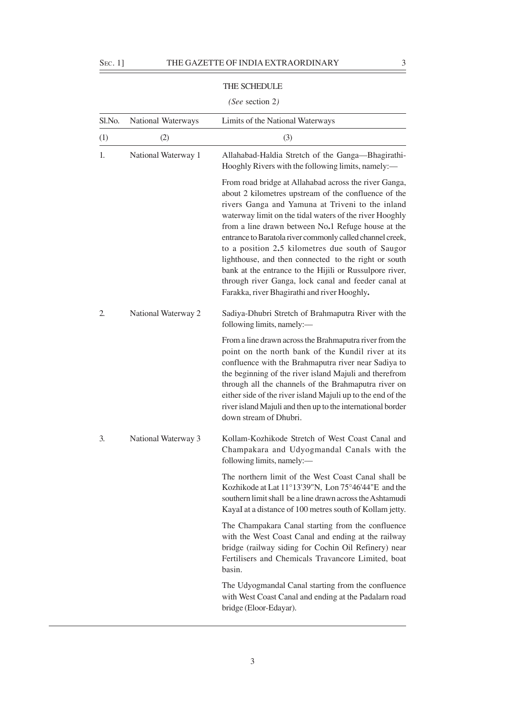### THE SCHEDULE

## *(See* section 2*)*

| Sl.No. | National Waterways  | Limits of the National Waterways                                                                                                                                                                                                                                                                                                                                                                                                                                                                                                                                                                                              |
|--------|---------------------|-------------------------------------------------------------------------------------------------------------------------------------------------------------------------------------------------------------------------------------------------------------------------------------------------------------------------------------------------------------------------------------------------------------------------------------------------------------------------------------------------------------------------------------------------------------------------------------------------------------------------------|
| (1)    | (2)                 | (3)                                                                                                                                                                                                                                                                                                                                                                                                                                                                                                                                                                                                                           |
| 1.     | National Waterway 1 | Allahabad-Haldia Stretch of the Ganga-Bhagirathi-<br>Hooghly Rivers with the following limits, namely:—                                                                                                                                                                                                                                                                                                                                                                                                                                                                                                                       |
|        |                     | From road bridge at Allahabad across the river Ganga,<br>about 2 kilometres upstream of the confluence of the<br>rivers Ganga and Yamuna at Triveni to the inland<br>waterway limit on the tidal waters of the river Hooghly<br>from a line drawn between No.1 Refuge house at the<br>entrance to Baratola river commonly called channel creek,<br>to a position 2.5 kilometres due south of Saugor<br>lighthouse, and then connected to the right or south<br>bank at the entrance to the Hijili or Russulpore river,<br>through river Ganga, lock canal and feeder canal at<br>Farakka, river Bhagirathi and river Hooghly. |
| 2.     | National Waterway 2 | Sadiya-Dhubri Stretch of Brahmaputra River with the<br>following limits, namely:-                                                                                                                                                                                                                                                                                                                                                                                                                                                                                                                                             |
|        |                     | From a line drawn across the Brahmaputra river from the<br>point on the north bank of the Kundil river at its<br>confluence with the Brahmaputra river near Sadiya to<br>the beginning of the river island Majuli and therefrom<br>through all the channels of the Brahmaputra river on<br>either side of the river island Majuli up to the end of the<br>river island Majuli and then up to the international border<br>down stream of Dhubri.                                                                                                                                                                               |
| 3.     | National Waterway 3 | Kollam-Kozhikode Stretch of West Coast Canal and<br>Champakara and Udyogmandal Canals with the<br>following limits, namely:-                                                                                                                                                                                                                                                                                                                                                                                                                                                                                                  |
|        |                     | The northern limit of the West Coast Canal shall be<br>Kozhikode at Lat 11°13'39"N, Lon 75°46'44"E and the<br>southern limit shall be a line drawn across the Ashtamudi<br>KayaI at a distance of 100 metres south of Kollam jetty.                                                                                                                                                                                                                                                                                                                                                                                           |
|        |                     | The Champakara Canal starting from the confluence<br>with the West Coast Canal and ending at the railway<br>bridge (railway siding for Cochin Oil Refinery) near<br>Fertilisers and Chemicals Travancore Limited, boat<br>basin.                                                                                                                                                                                                                                                                                                                                                                                              |
|        |                     | The Udyogmandal Canal starting from the confluence<br>with West Coast Canal and ending at the Padalarn road<br>bridge (Eloor-Edayar).                                                                                                                                                                                                                                                                                                                                                                                                                                                                                         |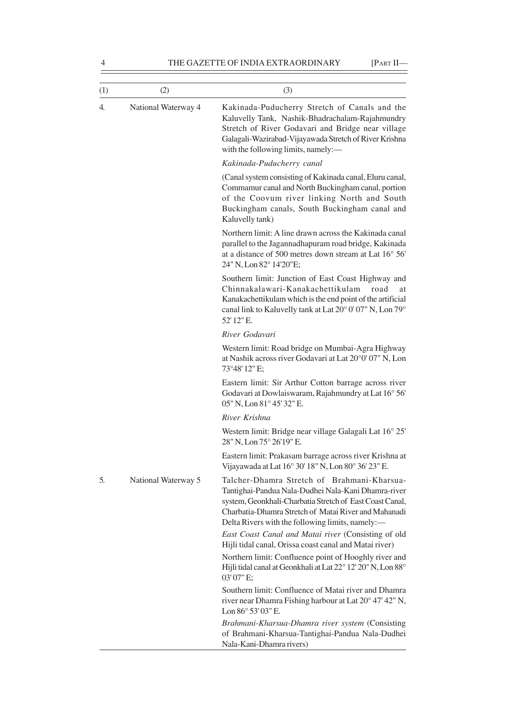| (1) | (2)                 | (3)                                                                                                                                                                                                                                                                        |
|-----|---------------------|----------------------------------------------------------------------------------------------------------------------------------------------------------------------------------------------------------------------------------------------------------------------------|
| 4.  | National Waterway 4 | Kakinada-Puducherry Stretch of Canals and the<br>Kaluvelly Tank, Nashik-Bhadrachalam-Rajahmundry<br>Stretch of River Godavari and Bridge near village<br>Galagali-Wazirabad-Vijayawada Stretch of River Krishna<br>with the following limits, namely:-                     |
|     |                     | Kakinada-Puducherry canal                                                                                                                                                                                                                                                  |
|     |                     | (Canal system consisting of Kakinada canal, Eluru canal,<br>Commamur canal and North Buckingham canal, portion<br>of the Coovum river linking North and South<br>Buckingham canals, South Buckingham canal and<br>Kaluvelly tank)                                          |
|     |                     | Northern limit: A line drawn across the Kakinada canal<br>parallel to the Jagannadhapuram road bridge, Kakinada<br>at a distance of 500 metres down stream at Lat 16° 56'<br>24" N, Lon 82° 14'20"E;                                                                       |
|     |                     | Southern limit: Junction of East Coast Highway and<br>Chinnakalawari-Kanakachettikulam<br>road<br>at<br>Kanakachettikulam which is the end point of the artificial<br>canal link to Kaluvelly tank at Lat 20° 0' 07" N, Lon 79°<br>52' 12" E.                              |
|     |                     | River Godavari                                                                                                                                                                                                                                                             |
|     |                     | Western limit: Road bridge on Mumbai-Agra Highway<br>at Nashik across river Godavari at Lat 20°0' 07" N, Lon<br>73°48' 12" E;                                                                                                                                              |
|     |                     | Eastern limit: Sir Arthur Cotton barrage across river<br>Godavari at Dowlaiswaram, Rajahmundry at Lat 16° 56'<br>05" N, Lon 81° 45' 32" E.                                                                                                                                 |
|     |                     | River Krishna                                                                                                                                                                                                                                                              |
| 5.  |                     | Western limit: Bridge near village Galagali Lat 16° 25'<br>28" N, Lon 75° 26'19" E.                                                                                                                                                                                        |
|     |                     | Eastern limit: Prakasam barrage across river Krishna at<br>Vijayawada at Lat 16° 30' 18" N, Lon 80° 36' 23" E.                                                                                                                                                             |
|     | National Waterway 5 | Talcher-Dhamra Stretch of Brahmani-Kharsua-<br>Tantighai-Pandua Nala-Dudhei Nala-Kani Dhamra-river<br>system, Geonkhali-Charbatia Stretch of East Coast Canal,<br>Charbatia-Dhamra Stretch of Matai River and Mahanadi<br>Delta Rivers with the following limits, namely:- |
|     |                     | East Coast Canal and Matai river (Consisting of old<br>Hijli tidal canal, Orissa coast canal and Matai river)                                                                                                                                                              |
|     |                     | Northern limit: Confluence point of Hooghly river and<br>Hijli tidal canal at Geonkhali at Lat 22° 12' 20" N, Lon 88°<br>03'07" E;                                                                                                                                         |
|     |                     | Southern limit: Confluence of Matai river and Dhamra<br>river near Dhamra Fishing harbour at Lat 20° 47' 42" N,<br>Lon 86° 53' 03" E.                                                                                                                                      |
|     |                     | Brahmani-Kharsua-Dhamra river system (Consisting<br>of Brahmani-Kharsua-Tantighai-Pandua Nala-Dudhei<br>Nala-Kani-Dhamra rivers)                                                                                                                                           |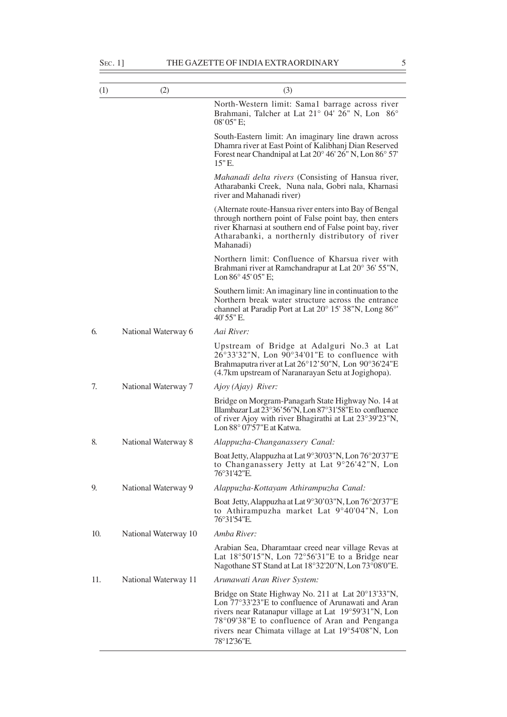| (1) | (2)                  | (3)                                                                                                                                                                                                                                           |
|-----|----------------------|-----------------------------------------------------------------------------------------------------------------------------------------------------------------------------------------------------------------------------------------------|
|     |                      | North-Western limit: Sama1 barrage across river<br>Brahmani, Talcher at Lat 21° 04' 26" N, Lon 86°<br>08'05" E:                                                                                                                               |
|     |                      | South-Eastern limit: An imaginary line drawn across<br>Dhamra river at East Point of Kalibhanj Dian Reserved<br>Forest near Chandnipal at Lat 20° 46' 26" N, Lon 86° 57'<br>15" E.                                                            |
|     |                      | Mahanadi delta rivers (Consisting of Hansua river,<br>Atharabanki Creek, Nuna nala, Gobri nala, Kharnasi<br>river and Mahanadi river)                                                                                                         |
|     |                      | (Alternate route-Hansua river enters into Bay of Bengal<br>through northern point of False point bay, then enters<br>river Kharnasi at southern end of False point bay, river<br>Atharabanki, a northernly distributory of river<br>Mahanadi) |
|     |                      | Northern limit: Confluence of Kharsua river with<br>Brahmani river at Ramchandrapur at Lat 20° 36' 55"N,<br>Lon $86^{\circ}$ 45' 05" E;                                                                                                       |
|     |                      | Southern limit: An imaginary line in continuation to the<br>Northern break water structure across the entrance<br>channel at Paradip Port at Lat 20° 15' 38"N, Long 86°'<br>40' 55" E.                                                        |
| 6.  | National Waterway 6  | Aai River:                                                                                                                                                                                                                                    |
|     |                      | Upstream of Bridge at Adalguri No.3 at Lat<br>$26^{\circ}33'32''N$ , Lon $90^{\circ}34'01''E$ to confluence with<br>Brahmaputra river at Lat 26°12'50"N, Lon 90°36'24"E<br>(4.7km upstream of Naranarayan Setu at Jogighopa).                 |
| 7.  | National Waterway 7  | Ajoy (Ajay) River:                                                                                                                                                                                                                            |
|     |                      | Bridge on Morgram-Panagarh State Highway No. 14 at<br>Illambazar Lat 23°36'56"N, Lon 87°31'58"E to confluence<br>of river Ajoy with river Bhagirathi at Lat 23°39'23"N,<br>Lon $88^{\circ}$ 07'57"E at Katwa.                                 |
| 8.  | National Waterway 8  | Alappuzha-Changanassery Canal:                                                                                                                                                                                                                |
|     |                      | Boat Jetty, Alappuzha at Lat 9°30'03"N, Lon 76°20'37"E<br>to Changanassery Jetty at Lat 9°26'42"N, Lon<br>76°31'42″E.                                                                                                                         |
| 9.  | National Waterway 9  | Alappuzha-Kottayam Athirampuzha Canal:                                                                                                                                                                                                        |
|     |                      | Boat Jetty, Alappuzha at Lat 9°30'03"N, Lon 76°20'37"E<br>to Athirampuzha market Lat 9°40'04"N, Lon<br>76°31'54"E.                                                                                                                            |
| 10. | National Waterway 10 | Amba River:                                                                                                                                                                                                                                   |
|     |                      | Arabian Sea, Dharamtaar creed near village Revas at<br>Lat $18°50'15"N$ , Lon $72°56'31"E$ to a Bridge near<br>Nagothane ST Stand at Lat 18°32'20"N, Lon 73°08'0"E.                                                                           |
| 11. | National Waterway 11 | Arunawati Aran River System:                                                                                                                                                                                                                  |

Bridge on State Highway No. 211 at Lat 20°13'33"N, Lon 77°33'23"E to confluence of Arunawati and Aran rivers near Ratanapur village at Lat 19°59'31"N, Lon 78°09'38"E to confluence of Aran and Penganga rivers near Chimata village at Lat 19°54'08"N, Lon

78°12'36"E.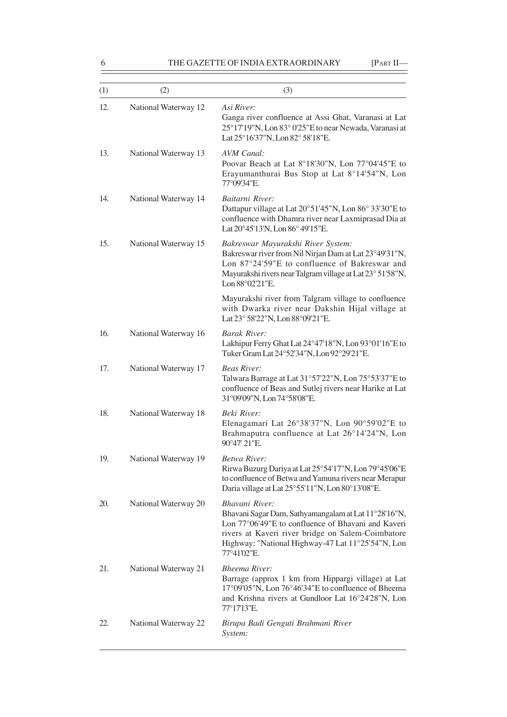| (1) | (2)                  | (3)                                                                                                                                                                                                                                                   |
|-----|----------------------|-------------------------------------------------------------------------------------------------------------------------------------------------------------------------------------------------------------------------------------------------------|
| 12. | National Waterway 12 | Asi River:<br>Ganga river confluence at Assi Ghat, Varanasi at Lat<br>25°17'19"N, Lon 83° 0'25"E to near Newada, Varanasi at<br>Lat 25°16'37"N, Lon 82° 58'18"E.                                                                                      |
| 13. | National Waterway 13 | AVM Canal:<br>Poovar Beach at Lat 8°18'30"N, Lon 77°04'45"E to<br>Erayumanthurai Bus Stop at Lat 8°14'54"N, Lon<br>77°09'34"E.                                                                                                                        |
| 14. | National Waterway 14 | Baitarni River:<br>Dattapur village at Lat 20°51'45"N, Lon 86° 33'30"E to<br>confluence with Dhamra river near Laxmiprasad Dia at<br>Lat 20°45'13'N, Lon 86°49'15"E.                                                                                  |
| 15. | National Waterway 15 | Bakreswar Mayurakshi River System:<br>Bakreswar river from Nil Nirjan Dam at Lat 23°49'31"N,<br>Lon 87°24'59"E to confluence of Bakreswar and<br>Mayurakshi rivers near Talgram village at Lat 23° 51'58"N,<br>Lon 88°02'21"E.                        |
|     |                      | Mayurakshi river from Talgram village to confluence<br>with Dwarka river near Dakshin Hijal village at<br>Lat 23° 58'22"N, Lon 88°09'21"E.                                                                                                            |
| 16. | National Waterway 16 | <b>Barak River:</b><br>Lakhipur Ferry Ghat Lat 24°47'18"N, Lon 93°01'16"E to<br>Tuker Gram Lat 24°52'34"N, Lon 92°29'21"E.                                                                                                                            |
| 17. | National Waterway 17 | <b>Beas River:</b><br>Talwara Barrage at Lat 31°57'22"N, Lon 75°53'37"E to<br>confluence of Beas and Sutlej rivers near Harike at Lat<br>31°09'09"N, Lon 74°58'08"E.                                                                                  |
| 18. | National Waterway 18 | <b>Beki River:</b><br>Elenagamari Lat $26^{\circ}38'37''N$ , Lon $90^{\circ}59'02''E$ to<br>Brahmaputra confluence at Lat 26°14'24"N, Lon<br>90°47' 21"E.                                                                                             |
| 19. | National Waterway 19 | Betwa River:<br>Rirwa Buzurg Dariya at Lat 25°54'17"N, Lon 79°45'06"E<br>to confluence of Betwa and Yamuna rivers near Merapur<br>Daria village at Lat 25°55'11"N, Lon 80°13'08"E.                                                                    |
| 20. | National Waterway 20 | Bhavani River:<br>Bhavani Sagar Dam, Sathyamangalam at Lat 11°28'16"N,<br>Lon 77°06'49"E to confluence of Bhavani and Kaveri<br>rivers at Kaveri river bridge on Salem-Coimbatore<br>Highway: "National Highway-47 Lat 11°25'54"N, Lon<br>77°41'02"E. |
| 21. | National Waterway 21 | <b>Bheema River:</b><br>Barrage (approx 1 km from Hippargi village) at Lat<br>17°09′05"N, Lon 76°46′34"E to confluence of Bheema<br>and Krishna rivers at Gundloor Lat 16°24'28"N, Lon<br>77°17'13"E.                                                 |
| 22. | National Waterway 22 | Birupa Badi Genguti Brahmani River<br>System:                                                                                                                                                                                                         |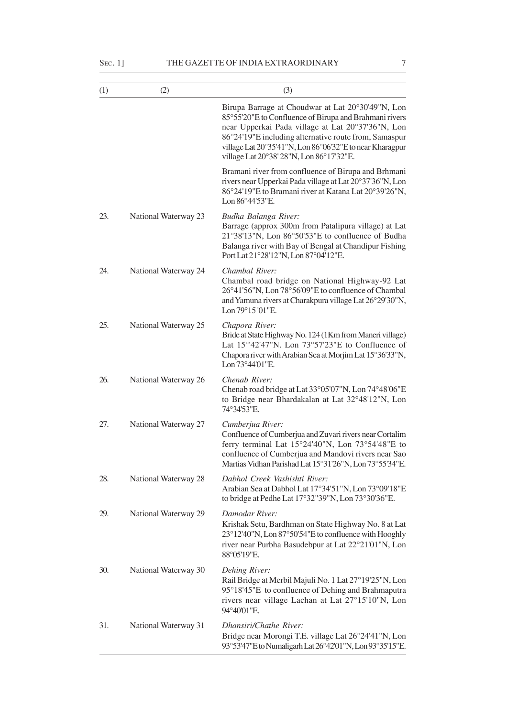| (1) | (2)                  | (3)                                                                                                                                                                                                                                                                                                                               |
|-----|----------------------|-----------------------------------------------------------------------------------------------------------------------------------------------------------------------------------------------------------------------------------------------------------------------------------------------------------------------------------|
|     |                      | Birupa Barrage at Choudwar at Lat 20°30'49"N, Lon<br>85°55'20"E to Confluence of Birupa and Brahmani rivers<br>near Upperkai Pada village at Lat 20°37'36"N, Lon<br>86°24'19"E including alternative route from, Samaspur<br>village Lat 20°35'41"N, Lon 86°06'32"E to near Kharagpur<br>village Lat 20°38' 28"N, Lon 86°17'32"E. |
|     |                      | Bramani river from confluence of Birupa and Brhmani<br>rivers near Upperkai Pada village at Lat 20°37'36"N, Lon<br>86°24'19"E to Bramani river at Katana Lat 20°39'26"N,<br>Lon 86°44'53"E.                                                                                                                                       |
| 23. | National Waterway 23 | Budha Balanga River:<br>Barrage (approx 300m from Patalipura village) at Lat<br>21°38'13"N, Lon 86°50'53"E to confluence of Budha<br>Balanga river with Bay of Bengal at Chandipur Fishing<br>Port Lat 21°28'12"N, Lon 87°04'12"E.                                                                                                |
| 24. | National Waterway 24 | Chambal River:<br>Chambal road bridge on National Highway-92 Lat<br>26°41'56"N, Lon 78°56'09"E to confluence of Chambal<br>and Yamuna rivers at Charakpura village Lat 26°29'30"N,<br>Lon 79°15'01"E.                                                                                                                             |
| 25. | National Waterway 25 | Chapora River:<br>Bride at State Highway No. 124 (1Km from Maneri village)<br>Lat $15^{\circ}42'47''$ N. Lon $73^{\circ}57'23''$ E to Confluence of<br>Chapora river with Arabian Sea at Morjim Lat 15°36'33"N,<br>Lon 73°44'01"E.                                                                                                |
| 26. | National Waterway 26 | Chenab River:<br>Chenab road bridge at Lat 33°05'07"N, Lon 74°48'06"E<br>to Bridge near Bhardakalan at Lat 32°48'12"N, Lon<br>74°34'53"E.                                                                                                                                                                                         |
| 27. | National Waterway 27 | Cumberjua River:<br>Confluence of Cumberjua and Zuvari rivers near Cortalim<br>ferry terminal Lat $15^{\circ}24'40''N$ , Lon $73^{\circ}54'48''E$ to<br>confluence of Cumberjua and Mandovi rivers near Sao<br>Martias Vidhan Parishad Lat 15°31'26"N, Lon 73°55'34"E.                                                            |
| 28. | National Waterway 28 | Dabhol Creek Vashishti River:<br>Arabian Sea at Dabhol Lat 17°34'51"N, Lon 73°09'18"E<br>to bridge at Pedhe Lat 17°32"39"N, Lon 73°30'36"E.                                                                                                                                                                                       |
| 29. | National Waterway 29 | Damodar River:<br>Krishak Setu, Bardhman on State Highway No. 8 at Lat<br>23°12'40"N, Lon 87°50'54"E to confluence with Hooghly<br>river near Purbha Basudebpur at Lat 22°21'01"N, Lon<br>88°05'19"E.                                                                                                                             |
| 30. | National Waterway 30 | Dehing River:<br>Rail Bridge at Merbil Majuli No. 1 Lat 27°19'25"N, Lon<br>95°18'45"E to confluence of Dehing and Brahmaputra<br>rivers near village Lachan at Lat 27°15'10"N, Lon<br>94°40'01"E.                                                                                                                                 |
| 31. | National Waterway 31 | Dhansiri/Chathe River:<br>Bridge near Morongi T.E. village Lat 26°24'41"N, Lon<br>93°53'47"E to Numaligarh Lat 26°42'01"N, Lon 93°35'15"E.                                                                                                                                                                                        |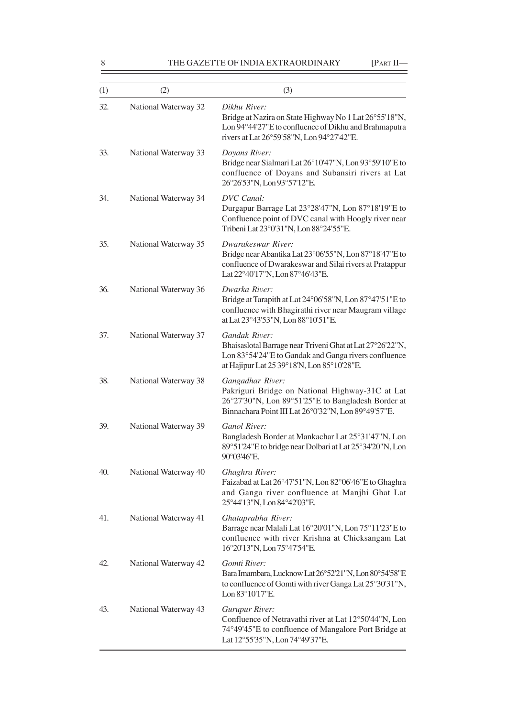| (1) | (2)                  | (3)                                                                                                                                                                              |
|-----|----------------------|----------------------------------------------------------------------------------------------------------------------------------------------------------------------------------|
| 32. | National Waterway 32 | Dikhu River:<br>Bridge at Nazira on State Highway No 1 Lat 26°55'18"N,<br>Lon 94°44'27"E to confluence of Dikhu and Brahmaputra<br>rivers at Lat 26°59'58"N, Lon 94°27'42"E.     |
| 33. | National Waterway 33 | Doyans River:<br>Bridge near Sialmari Lat 26°10'47"N, Lon 93°59'10"E to<br>confluence of Doyans and Subansiri rivers at Lat<br>26°26'53"N, Lon 93°57'12"E.                       |
| 34. | National Waterway 34 | <b>DVC</b> Canal:<br>Durgapur Barrage Lat 23°28'47"N, Lon 87°18'19"E to<br>Confluence point of DVC canal with Hoogly river near<br>Tribeni Lat 23°0'31"N, Lon 88°24'55"E.        |
| 35. | National Waterway 35 | Dwarakeswar River:<br>Bridge near Abantika Lat 23°06'55"N, Lon 87°18'47"E to<br>confluence of Dwarakeswar and Silai rivers at Pratappur<br>Lat 22°40'17"N, Lon 87°46'43"E.       |
| 36. | National Waterway 36 | Dwarka River:<br>Bridge at Tarapith at Lat 24°06'58"N, Lon 87°47'51"E to<br>confluence with Bhagirathi river near Maugram village<br>at Lat 23°43'53"N, Lon 88°10'51"E.          |
| 37. | National Waterway 37 | Gandak River:<br>Bhaisaslotal Barrage near Triveni Ghat at Lat 27°26'22"N,<br>Lon 83°54'24"E to Gandak and Ganga rivers confluence<br>at Hajipur Lat 25 39°18'N, Lon 85°10'28"E. |
| 38. | National Waterway 38 | Gangadhar River:<br>Pakriguri Bridge on National Highway-31C at Lat<br>26°27'30"N, Lon 89°51'25"E to Bangladesh Border at<br>Binnachara Point III Lat 26°0'32"N, Lon 89°49'57"E. |
| 39. | National Waterway 39 | Ganol River:<br>Bangladesh Border at Mankachar Lat 25°31'47"N, Lon<br>89°51'24"E to bridge near Dolbari at Lat 25°34'20"N, Lon<br>90°03'46"E.                                    |
| 40. | National Waterway 40 | Ghaghra River:<br>Faizabad at Lat 26°47'51"N, Lon 82°06'46"E to Ghaghra<br>and Ganga river confluence at Manjhi Ghat Lat<br>25°44'13"N, Lon 84°42'03"E.                          |
| 41. | National Waterway 41 | Ghataprabha River:<br>Barrage near Malali Lat 16°20'01"N, Lon 75°11'23"E to<br>confluence with river Krishna at Chicksangam Lat<br>16°20'13"N, Lon 75°47'54"E.                   |
| 42. | National Waterway 42 | Gomti River:<br>Bara Imambara, Lucknow Lat 26°52'21"N, Lon 80°54'58"E<br>to confluence of Gomti with river Ganga Lat 25°30'31"N,<br>Lon 83°10'17"E.                              |
| 43. | National Waterway 43 | Gurupur River:<br>Confluence of Netravathi river at Lat 12°50'44"N, Lon<br>74°49'45"E to confluence of Mangalore Port Bridge at<br>Lat 12°55'35"N, Lon 74°49'37"E.               |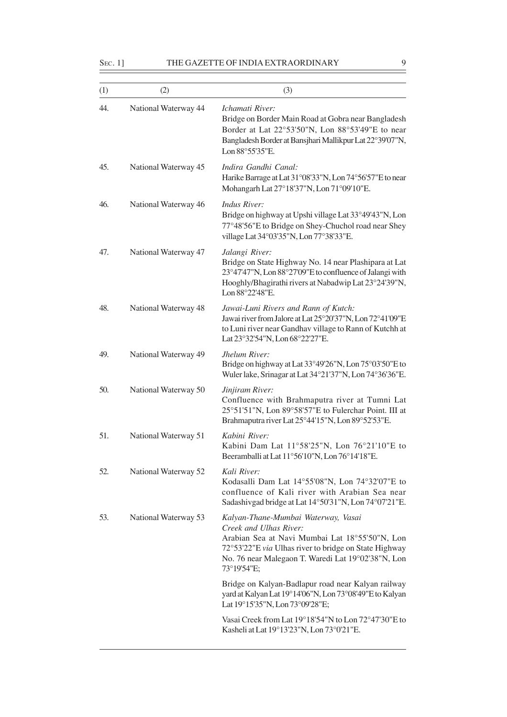SEC. 1] THE GAZETTE OF INDIA EXTRAORDINARY 9

| (1) | (2)                  | (3)                                                                                                                                                                                                                                           |
|-----|----------------------|-----------------------------------------------------------------------------------------------------------------------------------------------------------------------------------------------------------------------------------------------|
| 44. | National Waterway 44 | Ichamati River:<br>Bridge on Border Main Road at Gobra near Bangladesh<br>Border at Lat 22°53'50"N, Lon 88°53'49"E to near<br>Bangladesh Border at Bansjhari Mallikpur Lat 22°39'07"N,<br>Lon 88°55'35"E.                                     |
| 45. | National Waterway 45 | Indira Gandhi Canal:<br>Harike Barrage at Lat 31°08'33"N, Lon 74°56'57"E to near<br>Mohangarh Lat 27°18'37"N, Lon 71°09'10"E.                                                                                                                 |
| 46. | National Waterway 46 | <b>Indus River:</b><br>Bridge on highway at Upshi village Lat 33°49'43"N, Lon<br>77°48'56"E to Bridge on Shey-Chuchol road near Shey<br>village Lat 34°03'35"N, Lon 77°38'33"E.                                                               |
| 47. | National Waterway 47 | Jalangi River:<br>Bridge on State Highway No. 14 near Plashipara at Lat<br>23°47'47"N, Lon 88°27'09"E to confluence of Jalangi with<br>Hooghly/Bhagirathi rivers at Nabadwip Lat 23°24'39"N,<br>Lon 88°22'48"E.                               |
| 48. | National Waterway 48 | Jawai-Luni Rivers and Rann of Kutch:<br>Jawai river from Jalore at Lat 25°20'37"N, Lon 72°41'09"E<br>to Luni river near Gandhav village to Rann of Kutchh at<br>Lat 23°32'54"N, Lon 68°22'27"E.                                               |
| 49. | National Waterway 49 | Jhelum River:<br>Bridge on highway at Lat 33°49'26"N, Lon 75°03'50"E to<br>Wuler lake, Srinagar at Lat 34°21'37"N, Lon 74°36'36"E.                                                                                                            |
| 50. | National Waterway 50 | Jinjiram River:<br>Confluence with Brahmaputra river at Tumni Lat<br>25°51'51"N, Lon 89°58'57"E to Fulerchar Point. III at<br>Brahmaputra river Lat 25°44'15"N, Lon 89°52'53"E.                                                               |
| 51. | National Waterway 51 | Kabini River:<br>Kabini Dam Lat 11°58'25"N, Lon 76°21'10"E to<br>Beeramballi at Lat 11°56'10"N, Lon 76°14'18"E.                                                                                                                               |
| 52. | National Waterway 52 | Kali River:<br>Kodasalli Dam Lat 14°55'08"N, Lon 74°32'07"E to<br>confluence of Kali river with Arabian Sea near<br>Sadashivgad bridge at Lat 14°50'31"N, Lon 74°07'21"E.                                                                     |
| 53. | National Waterway 53 | Kalyan-Thane-Mumbai Waterway, Vasai<br>Creek and Ulhas River:<br>Arabian Sea at Navi Mumbai Lat 18°55'50"N, Lon<br>72°53'22"E via Ulhas river to bridge on State Highway<br>No. 76 near Malegaon T. Waredi Lat 19°02'38"N, Lon<br>73°19'54"E; |
|     |                      | Bridge on Kalyan-Badlapur road near Kalyan railway<br>yard at Kalyan Lat 19°14'06"N, Lon 73°08'49"E to Kalyan<br>Lat 19°15'35"N, Lon 73°09'28"E;                                                                                              |
|     |                      | Vasai Creek from Lat 19°18'54"N to Lon 72°47'30"E to<br>Kasheli at Lat 19°13'23"N, Lon 73°0'21"E.                                                                                                                                             |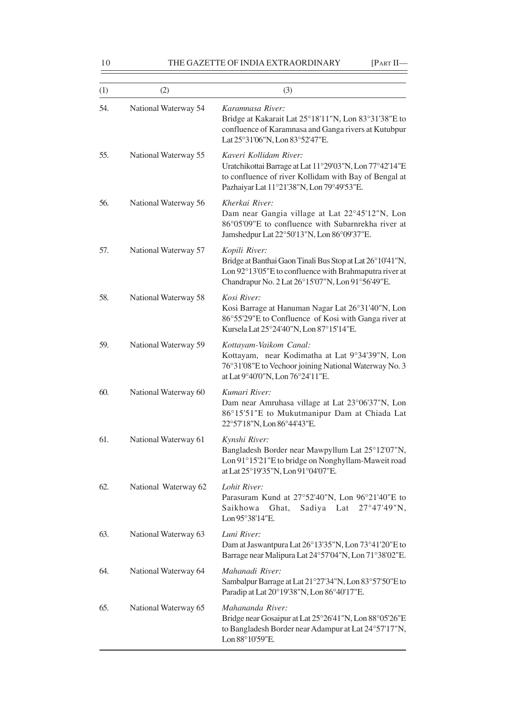| (1) | (2)                  | (3)                                                                                                                                                                                      |
|-----|----------------------|------------------------------------------------------------------------------------------------------------------------------------------------------------------------------------------|
| 54. | National Waterway 54 | Karamnasa River:<br>Bridge at Kakarait Lat 25°18'11"N, Lon 83°31'38"E to<br>confluence of Karamnasa and Ganga rivers at Kutubpur<br>Lat 25°31'06"N, Lon 83°52'47"E.                      |
| 55. | National Waterway 55 | Kaveri Kollidam River:<br>Uratchikottai Barrage at Lat 11°29'03"N, Lon 77°42'14"E<br>to confluence of river Kollidam with Bay of Bengal at<br>Pazhaiyar Lat 11°21'38"N, Lon 79°49'53"E.  |
| 56. | National Waterway 56 | Kherkai River:<br>Dam near Gangia village at Lat 22°45'12"N, Lon<br>86°05'09"E to confluence with Subarnrekha river at<br>Jamshedpur Lat 22°50'13"N, Lon 86°09'37"E.                     |
| 57. | National Waterway 57 | Kopili River:<br>Bridge at Banthai Gaon Tinali Bus Stop at Lat 26°10'41"N,<br>Lon 92°13'05"E to confluence with Brahmaputra river at<br>Chandrapur No. 2 Lat 26°15'07"N, Lon 91°56'49"E. |
| 58. | National Waterway 58 | Kosi River:<br>Kosi Barrage at Hanuman Nagar Lat 26°31'40"N, Lon<br>86°55'29"E to Confluence of Kosi with Ganga river at<br>Kursela Lat 25°24'40"N, Lon 87°15'14"E.                      |
| 59. | National Waterway 59 | Kottayam-Vaikom Canal:<br>Kottayam, near Kodimatha at Lat 9°34'39"N, Lon<br>76°31′08″E to Vechoor joining National Waterway No. 3<br>at Lat 9°40'0"N, Lon 76°24'11"E.                    |
| 60. | National Waterway 60 | Kumari River:<br>Dam near Amruhasa village at Lat 23°06'37"N, Lon<br>86°15'51"E to Mukutmanipur Dam at Chiada Lat<br>22°57'18"N, Lon 86°44'43"E.                                         |
| 61. | National Waterway 61 | Kynshi River:<br>Bangladesh Border near Mawpyllum Lat 25°12'07"N,<br>Lon 91°15'21"E to bridge on Nonghyllam-Maweit road<br>at Lat 25°19'35"N, Lon 91°04'07"E.                            |
| 62. | National Waterway 62 | Lohit River:<br>Parasuram Kund at 27°52'40"N, Lon 96°21'40"E to<br>Sadiya Lat<br>27°47'49"N,<br>Saikhowa<br>Ghat,<br>Lon 95°38'14"E.                                                     |
| 63. | National Waterway 63 | Luni River:<br>Dam at Jaswantpura Lat 26°13'35"N, Lon 73°41'20"E to<br>Barrage near Malipura Lat 24°57'04"N, Lon 71°38'02"E.                                                             |
| 64. | National Waterway 64 | Mahanadi River:<br>Sambalpur Barrage at Lat 21°27'34"N, Lon 83°57'50"E to<br>Paradip at Lat 20°19'38"N, Lon 86°40'17"E.                                                                  |
| 65. | National Waterway 65 | Mahananda River:<br>Bridge near Gosaipur at Lat 25°26'41"N, Lon 88°05'26"E<br>to Bangladesh Border near Adampur at Lat 24°57'17"N,<br>Lon 88°10'59"E.                                    |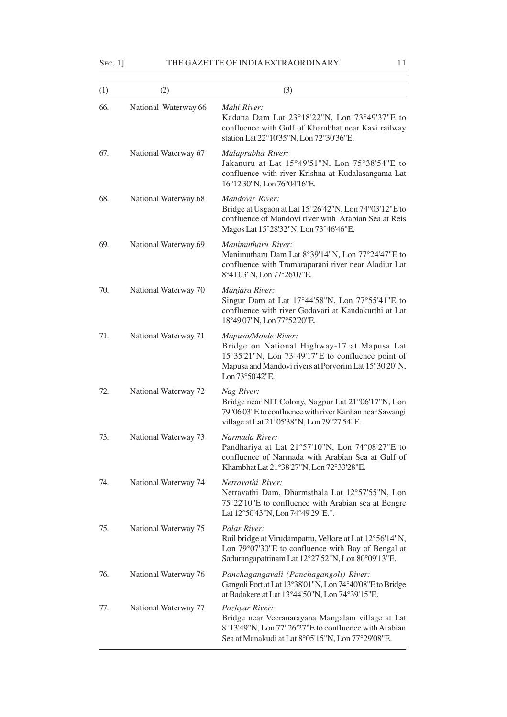## SEC. 1] THE GAZETTE OF INDIA EXTRAORDINARY 11

| (1) | (2)                  | (3)                                                                                                                                                                                                 |
|-----|----------------------|-----------------------------------------------------------------------------------------------------------------------------------------------------------------------------------------------------|
| 66. | National Waterway 66 | Mahi River:<br>Kadana Dam Lat 23°18'22"N, Lon 73°49'37"E to<br>confluence with Gulf of Khambhat near Kavi railway<br>station Lat 22°10'35"N, Lon 72°30'36"E.                                        |
| 67. | National Waterway 67 | Malaprabha River:<br>Jakanuru at Lat 15°49'51"N, Lon 75°38'54"E to<br>confluence with river Krishna at Kudalasangama Lat<br>16°12'30"N, Lon 76°04'16"E.                                             |
| 68. | National Waterway 68 | Mandovir River:<br>Bridge at Usgaon at Lat 15°26'42"N, Lon 74°03'12"E to<br>confluence of Mandovi river with Arabian Sea at Reis<br>Magos Lat 15°28'32"N, Lon 73°46'46"E.                           |
| 69. | National Waterway 69 | Manimutharu River:<br>Manimutharu Dam Lat 8°39'14"N, Lon 77°24'47"E to<br>confluence with Tramaraparani river near Aladiur Lat<br>8°41'03"N, Lon 77°26'07"E.                                        |
| 70. | National Waterway 70 | Manjara River:<br>Singur Dam at Lat 17°44'58"N, Lon 77°55'41"E to<br>confluence with river Godavari at Kandakurthi at Lat<br>18°49'07"N, Lon 77°52'20"E.                                            |
| 71. | National Waterway 71 | Mapusa/Moide River:<br>Bridge on National Highway-17 at Mapusa Lat<br>15°35'21"N, Lon 73°49'17"E to confluence point of<br>Mapusa and Mandovi rivers at Porvorim Lat 15°30'20"N,<br>Lon 73°50'42"E. |
| 72. | National Waterway 72 | Nag River:<br>Bridge near NIT Colony, Nagpur Lat 21°06'17"N, Lon<br>79°06′03″E to confluence with river Kanhan near Sawangi<br>village at Lat 21°05'38"N, Lon 79°27'54"E.                           |
| 73. | National Waterway 73 | Narmada River:<br>Pandhariya at Lat 21°57'10"N, Lon 74°08'27"E to<br>confluence of Narmada with Arabian Sea at Gulf of<br>Khambhat Lat 21°38'27"N, Lon 72°33'28"E.                                  |
| 74. | National Waterway 74 | Netravathi River:<br>Netravathi Dam, Dharmsthala Lat 12°57'55"N, Lon<br>75°22'10"E to confluence with Arabian sea at Bengre<br>Lat 12°50'43"N, Lon 74°49'29"E.".                                    |
| 75. | National Waterway 75 | Palar River:<br>Rail bridge at Virudampattu, Vellore at Lat 12°56'14"N,<br>Lon 79°07'30"E to confluence with Bay of Bengal at<br>Sadurangapattinam Lat 12°27'52"N, Lon 80°09'13"E.                  |
| 76. | National Waterway 76 | Panchagangavali (Panchagangoli) River:<br>Gangoli Port at Lat 13°38'01"N, Lon 74°40'08"E to Bridge<br>at Badakere at Lat 13°44'50"N, Lon 74°39'15"E.                                                |
| 77. | National Waterway 77 | Pazhyar River:<br>Bridge near Veeranarayana Mangalam village at Lat<br>8°13'49"N, Lon 77°26'27"E to confluence with Arabian<br>Sea at Manakudi at Lat 8°05'15"N, Lon 77°29'08"E.                    |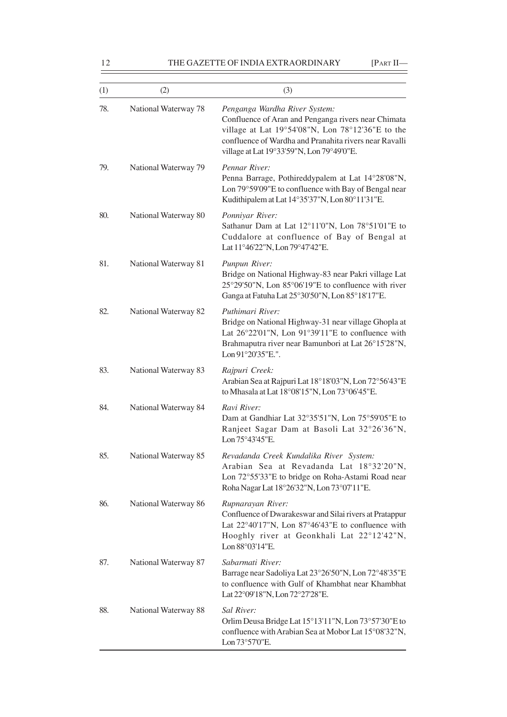| (1) | (2)                  | (3)                                                                                                                                                                                                                                             |
|-----|----------------------|-------------------------------------------------------------------------------------------------------------------------------------------------------------------------------------------------------------------------------------------------|
| 78. | National Waterway 78 | Penganga Wardha River System:<br>Confluence of Aran and Penganga rivers near Chimata<br>village at Lat 19°54'08"N, Lon 78°12'36"E to the<br>confluence of Wardha and Pranahita rivers near Ravalli<br>village at Lat 19°33'59"N, Lon 79°49'0"E. |
| 79. | National Waterway 79 | Pennar River:<br>Penna Barrage, Pothireddypalem at Lat 14°28'08"N,<br>Lon 79°59'09"E to confluence with Bay of Bengal near<br>Kudithipalem at Lat 14°35'37"N, Lon 80°11'31"E.                                                                   |
| 80. | National Waterway 80 | Ponniyar River:<br>Sathanur Dam at Lat 12°11'0"N, Lon 78°51'01"E to<br>Cuddalore at confluence of Bay of Bengal at<br>Lat 11°46'22"N, Lon 79°47'42"E.                                                                                           |
| 81. | National Waterway 81 | Punpun River:<br>Bridge on National Highway-83 near Pakri village Lat<br>25°29'50"N, Lon 85°06'19"E to confluence with river<br>Ganga at Fatuha Lat 25°30'50"N, Lon 85°18'17"E.                                                                 |
| 82. | National Waterway 82 | Puthimari River:<br>Bridge on National Highway-31 near village Ghopla at<br>Lat 26°22'01"N, Lon 91°39'11"E to confluence with<br>Brahmaputra river near Bamunbori at Lat 26°15'28"N,<br>Lon 91°20'35"E.".                                       |
| 83. | National Waterway 83 | Rajpuri Creek:<br>Arabian Sea at Rajpuri Lat 18°18'03"N, Lon 72°56'43"E<br>to Mhasala at Lat 18°08'15"N, Lon 73°06'45"E.                                                                                                                        |
| 84. | National Waterway 84 | Ravi River:<br>Dam at Gandhiar Lat 32°35'51"N, Lon 75°59'05"E to<br>Ranjeet Sagar Dam at Basoli Lat 32°26'36"N,<br>Lon 75°43'45"E.                                                                                                              |
| 85. | National Waterway 85 | Revadanda Creek Kundalika River System:<br>Arabian Sea at Revadanda Lat 18°32'20"N,<br>Lon 72°55'33"E to bridge on Roha-Astami Road near<br>Roha Nagar Lat 18°26'32"N, Lon 73°07'11"E.                                                          |
| 86. | National Waterway 86 | Rupnarayan River:<br>Confluence of Dwarakeswar and Silai rivers at Pratappur<br>Lat 22°40'17"N, Lon 87°46'43"E to confluence with<br>Hooghly river at Geonkhali Lat 22°12'42"N,<br>Lon 88°03'14"E.                                              |
| 87. | National Waterway 87 | Sabarmati River:<br>Barrage near Sadoliya Lat 23°26'50"N, Lon 72°48'35"E<br>to confluence with Gulf of Khambhat near Khambhat<br>Lat 22°09'18"N, Lon 72°27'28"E.                                                                                |
| 88. | National Waterway 88 | Sal River:<br>Orlim Deusa Bridge Lat 15°13'11"N, Lon 73°57'30"E to<br>confluence with Arabian Sea at Mobor Lat 15°08'32"N,<br>Lon 73°57'0"E.                                                                                                    |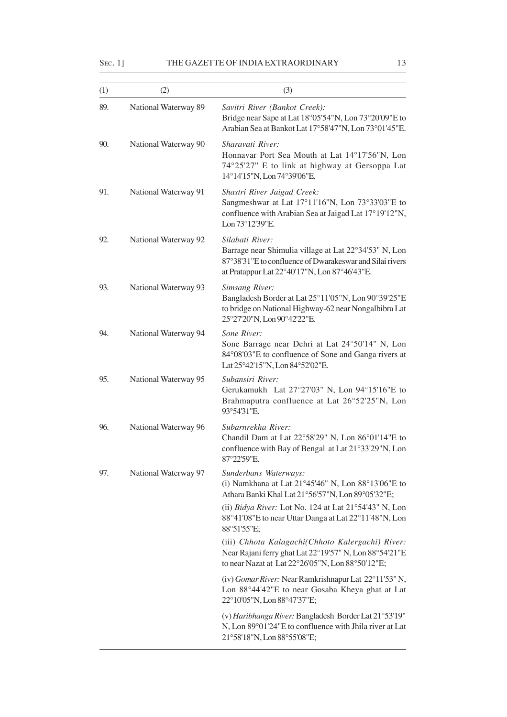SEC. 1] THE GAZETTE OF INDIA EXTRAORDINARY 13

| (1) | (2)                  | (3)                                                                                                                                                                                  |
|-----|----------------------|--------------------------------------------------------------------------------------------------------------------------------------------------------------------------------------|
| 89. | National Waterway 89 | Savitri River (Bankot Creek):<br>Bridge near Sape at Lat 18°05'54"N, Lon 73°20'09"E to<br>Arabian Sea at Bankot Lat 17°58'47"N, Lon 73°01'45"E.                                      |
| 90. | National Waterway 90 | Sharavati River:<br>Honnavar Port Sea Mouth at Lat 14°17'56"N, Lon<br>74°25'27" E to link at highway at Gersoppa Lat<br>14°14'15"N, Lon 74°39'06"E.                                  |
| 91. | National Waterway 91 | Shastri River Jaigad Creek:<br>Sangmeshwar at Lat 17°11'16"N, Lon 73°33'03"E to<br>confluence with Arabian Sea at Jaigad Lat 17°19'12"N,<br>Lon 73°12'39"E.                          |
| 92. | National Waterway 92 | Silabati River:<br>Barrage near Shimulia village at Lat 22°34'53" N, Lon<br>87°38'31"E to confluence of Dwarakeswar and Silai rivers<br>at Pratappur Lat 22°40'17"N, Lon 87°46'43"E. |
| 93. | National Waterway 93 | <b>Simsang River:</b><br>Bangladesh Border at Lat 25°11'05"N, Lon 90°39'25"E<br>to bridge on National Highway-62 near Nongalbibra Lat<br>25°27'20"N, Lon 90°42'22"E.                 |
| 94. | National Waterway 94 | Sone River:<br>Sone Barrage near Dehri at Lat 24°50'14" N, Lon<br>84°08′03″E to confluence of Sone and Ganga rivers at<br>Lat 25°42'15"N, Lon 84°52'02"E.                            |
| 95. | National Waterway 95 | Subansiri River:<br>Gerukamukh Lat 27°27'03" N, Lon 94°15'16"E to<br>Brahmaputra confluence at Lat 26°52'25"N, Lon<br>93°54'31"E.                                                    |
| 96. | National Waterway 96 | Subarnrekha River:<br>Chandil Dam at Lat 22°58'29" N, Lon 86°01'14"E to<br>confluence with Bay of Bengal at Lat 21°33'29"N, Lon<br>87°22'59"E.                                       |
| 97. | National Waterway 97 | Sunderbans Waterways:<br>(i) Namkhana at Lat $21^{\circ}45'46''$ N, Lon $88^{\circ}13'06''E$ to<br>Athara Banki Khal Lat 21°56'57"N, Lon 89°05'32"E;                                 |
|     |                      | (ii) Bidya River: Lot No. 124 at Lat 21°54'43" N, Lon<br>88°41'08"E to near Uttar Danga at Lat 22°11'48"N, Lon<br>88°51'55"E;                                                        |
|     |                      | (iii) Chhota Kalagachi(Chhoto Kalergachi) River:<br>Near Rajani ferry ghat Lat 22°19'57" N, Lon 88°54'21"E<br>to near Nazat at Lat 22°26'05"N, Lon 88°50'12"E;                       |
|     |                      | (iv) Gomar River: Near Ramkrishnapur Lat 22°11'53" N,<br>Lon 88°44'42"E to near Gosaba Kheya ghat at Lat<br>22°10'05"N, Lon 88°47'37"E;                                              |
|     |                      | (v) Haribhanga River: Bangladesh Border Lat 21°53'19"<br>N, Lon 89°01'24"E to confluence with Jhila river at Lat<br>21°58'18"N, Lon 88°55'08"E;                                      |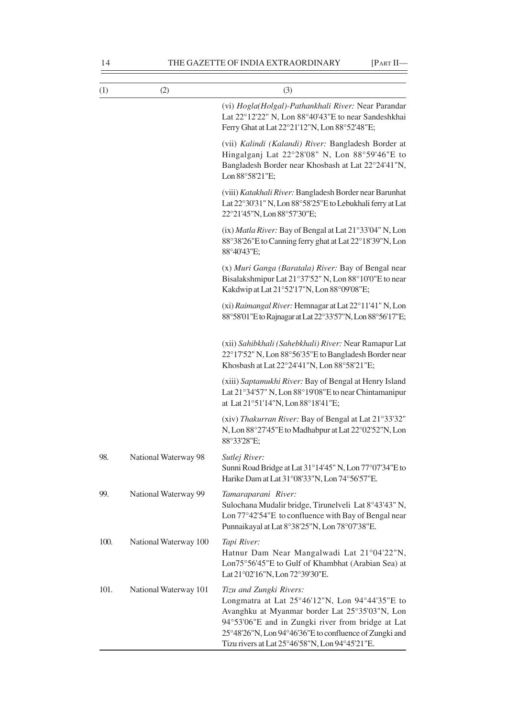| (1)  | (2)                   | (3)                                                                                                                                                                                                                                                                                          |
|------|-----------------------|----------------------------------------------------------------------------------------------------------------------------------------------------------------------------------------------------------------------------------------------------------------------------------------------|
|      |                       | (vi) Hogla(Holgal)-Pathankhali River: Near Parandar<br>Lat 22°12'22" N, Lon 88°40'43"E to near Sandeshkhai<br>Ferry Ghat at Lat 22°21'12"N, Lon 88°52'48"E;                                                                                                                                  |
|      |                       | (vii) Kalindi (Kalandi) River: Bangladesh Border at<br>Hingalganj Lat 22°28'08" N, Lon 88°59'46"E to<br>Bangladesh Border near Khosbash at Lat 22°24'41"N,<br>Lon 88°58'21"E;                                                                                                                |
|      |                       | (viii) Katakhali River: Bangladesh Border near Barunhat<br>Lat 22°30'31" N, Lon 88°58'25" E to Lebukhali ferry at Lat<br>22°21'45"N, Lon 88°57'30"E;                                                                                                                                         |
|      |                       | (ix) Matla River: Bay of Bengal at Lat 21°33'04" N, Lon<br>88°38'26"E to Canning ferry ghat at Lat 22°18'39"N, Lon<br>88°40'43"E;                                                                                                                                                            |
|      |                       | (x) Muri Ganga (Baratala) River: Bay of Bengal near<br>Bisalakshmipur Lat 21°37'52" N, Lon 88°10'0"E to near<br>Kakdwip at Lat 21°52'17"N, Lon 88°09'08"E;                                                                                                                                   |
|      |                       | (xi) Raimangal River: Hemnagar at Lat 22°11'41" N, Lon<br>88°58'01"E to Rajnagar at Lat 22°33'57"N, Lon 88°56'17"E;                                                                                                                                                                          |
|      |                       | (xii) Sahibkhali (Sahebkhali) River: Near Ramapur Lat<br>22°17'52" N, Lon 88°56'35"E to Bangladesh Border near<br>Khosbash at Lat 22°24'41"N, Lon 88°58'21"E;                                                                                                                                |
|      |                       | (xiii) Saptamukhi River: Bay of Bengal at Henry Island<br>Lat 21°34'57" N, Lon 88°19'08"E to near Chintamanipur<br>at Lat 21°51'14"N, Lon 88°18'41"E;                                                                                                                                        |
|      |                       | (xiv) Thakurran River: Bay of Bengal at Lat 21°33'32"<br>N, Lon 88°27'45"E to Madhabpur at Lat 22°02'52"N, Lon<br>88°33'28"E;                                                                                                                                                                |
| 98.  | National Waterway 98  | Sutlej River:<br>Sunni Road Bridge at Lat 31°14'45" N, Lon 77°07'34"E to<br>Harike Dam at Lat 31°08'33"N, Lon 74°56'57"E.                                                                                                                                                                    |
| 99.  | National Waterway 99  | Tamaraparani River:<br>Sulochana Mudalir bridge, Tirunelveli Lat 8°43'43" N,<br>Lon 77°42'54"E to confluence with Bay of Bengal near<br>Punnaikayal at Lat 8°38'25"N, Lon 78°07'38"E.                                                                                                        |
| 100. | National Waterway 100 | Tapi River:<br>Hatnur Dam Near Mangalwadi Lat 21°04'22"N,<br>Lon75°56'45"E to Gulf of Khambhat (Arabian Sea) at<br>Lat 21°02'16"N, Lon 72°39'30"E.                                                                                                                                           |
| 101. | National Waterway 101 | Tizu and Zungki Rivers:<br>Longmatra at Lat 25°46'12"N, Lon 94°44'35"E to<br>Avanghku at Myanmar border Lat 25°35'03"N, Lon<br>94°53'06"E and in Zungki river from bridge at Lat<br>25°48'26"N, Lon 94°46'36"E to confluence of Zungki and<br>Tizu rivers at Lat 25°46'58"N, Lon 94°45'21"E. |